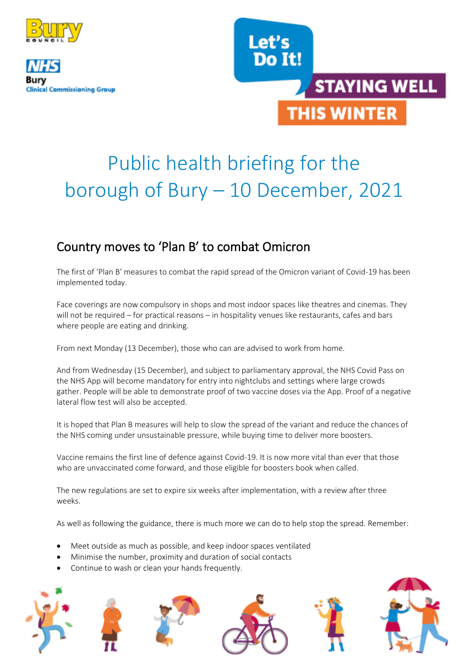

**Clinical Commissioning Group** 

Let's Do It! STAYING WELL **THIS WINTER** 

# Public health briefing for the borough of Bury – 10 December, 2021

# Country moves to 'Plan B' to combat Omicron

The first of 'Plan B' measures to combat the rapid spread of the Omicron variant of Covid-19 has been implemented today.

Face coverings are now compulsory in shops and most indoor spaces like theatres and cinemas. They will not be required – for practical reasons – in hospitality venues like restaurants, cafes and bars where people are eating and drinking.

From next Monday (13 December), those who can are advised to work from home.

And from Wednesday (15 December), and subject to parliamentary approval, the NHS Covid Pass on the NHS App will become mandatory for entry into nightclubs and settings where large crowds gather. People will be able to demonstrate proof of two vaccine doses via the App. Proof of a negative lateral flow test will also be accepted.

It is hoped that Plan B measures will help to slow the spread of the variant and reduce the chances of the NHS coming under unsustainable pressure, while buying time to deliver more boosters.

Vaccine remains the first line of defence against Covid-19. It is now more vital than ever that those who are unvaccinated come forward, and those eligible for boosters book when called.

The new regulations are set to expire six weeks after implementation, with a review after three weeks.

As well as following the guidance, there is much more we can do to help stop the spread. Remember:

- Meet outside as much as possible, and keep indoor spaces ventilated
- Minimise the number, proximity and duration of social contacts
- Continue to wash or clean your hands frequently.

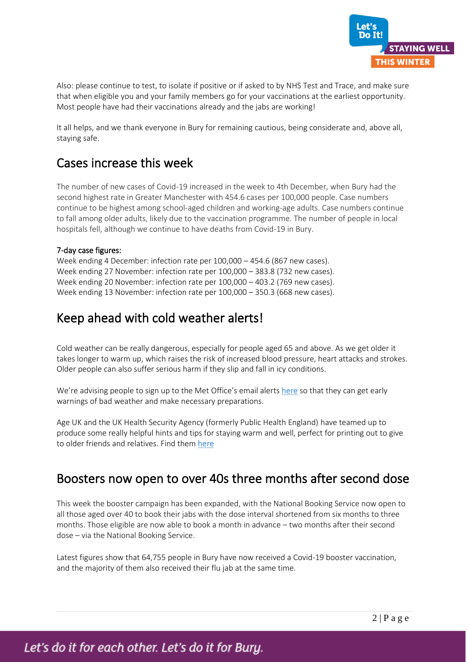

Also: please continue to test, to isolate if positive or if asked to by NHS Test and Trace, and make sure that when eligible you and your family members go for your vaccinations at the earliest opportunity. Most people have had their vaccinations already and the jabs are working!

It all helps, and we thank everyone in Bury for remaining cautious, being considerate and, above all, staying safe.

### Cases increase this week

The number of new cases of Covid-19 increased in the week to 4th December, when Bury had the second highest rate in Greater Manchester with 454.6 cases per 100,000 people. Case numbers continue to be highest among school-aged children and working-age adults. Case numbers continue to fall among older adults, likely due to the vaccination programme. The number of people in local hospitals fell, although we continue to have deaths from Covid-19 in Bury.

#### 7-day case figures:

Week ending 4 December: infection rate per 100,000 – 454.6 (867 new cases). Week ending 27 November: infection rate per 100,000 – 383.8 (732 new cases). Week ending 20 November: infection rate per 100,000 – 403.2 (769 new cases). Week ending 13 November: infection rate per 100,000 – 350.3 (668 new cases).

### Keep ahead with cold weather alerts!

Cold weather can be really dangerous, especially for people aged 65 and above. As we get older it takes longer to warm up, which raises the risk of increased blood pressure, heart attacks and strokes. Older people can also suffer serious harm if they slip and fall in icy conditions.

We're advising people to sign up to the Met Office's email alerts [here](https://public.govdelivery.com/accounts/UKMETOFFICE/subscriber/new?qsp=PHE) so that they can get early warnings of bad weather and make necessary preparations.

Age UK and the UK Health Security Agency (formerly Public Health England) have teamed up to produce some really helpful hints and tips for staying warm and well, perfect for printing out to give to older friends and relatives. Find the[m here](https://www.gov.uk/government/publications/keep-warm-keep-well-leaflet-gives-advice-on-staying-healthy-in-cold-weather)

### Boosters now open to over 40s three months after second dose

This week the booster campaign has been expanded, with the National Booking Service now open to all those aged over 40 to book their jabs with the dose interval shortened from six months to three months. Those eligible are now able to book a month in advance – two months after their second dose – via the National Booking Service.

Latest figures show that 64,755 people in Bury have now received a Covid-19 booster vaccination, and the majority of them also received their flu jab at the same time.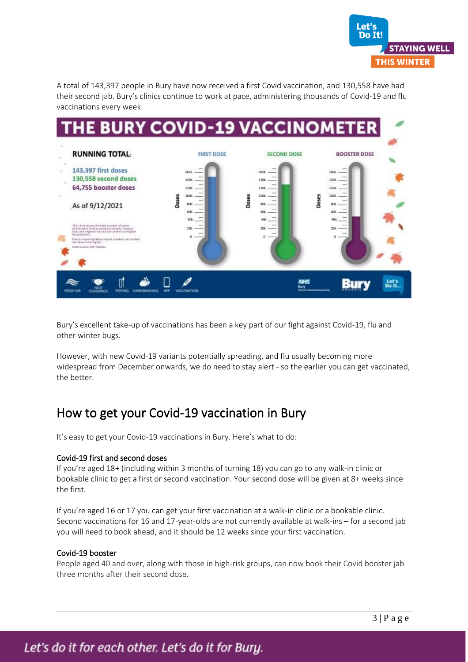

A total of 143,397 people in Bury have now received a first Covid vaccination, and 130,558 have had their second jab. Bury's clinics continue to work at pace, administering thousands of Covid-19 and flu vaccinations every week.



Bury's excellent take-up of vaccinations has been a key part of our fight against Covid-19, flu and other winter bugs.

However, with new Covid-19 variants potentially spreading, and flu usually becoming more widespread from December onwards, we do need to stay alert - so the earlier you can get vaccinated, the better.

# How to get your Covid-19 vaccination in Bury

It's easy to get your Covid-19 vaccinations in Bury. Here's what to do:

#### Covid-19 first and second doses

If you're aged 18+ (including within 3 months of turning 18) you can go to any walk-in clinic or bookable clinic to get a first or second vaccination. Your second dose will be given at 8+ weeks since the first.

If you're aged 16 or 17 you can get your first vaccination at a walk-in clinic or a bookable clinic. Second vaccinations for 16 and 17-year-olds are not currently available at walk-ins – for a second jab you will need to book ahead, and it should be 12 weeks since your first vaccination.

#### Covid-19 booster

People aged 40 and over, along with those in high-risk groups, can now book their Covid booster jab three months after their second dose.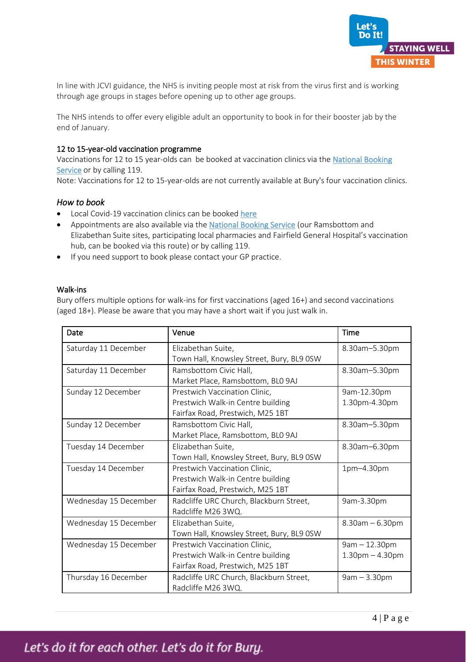

In line with JCVI guidance, the NHS is inviting people most at risk from the virus first and is working through age groups in stages before opening up to other age groups.

The NHS intends to offer every eligible adult an opportunity to book in for their booster jab by the end of January.

#### 12 to 15-year-old vaccination programme

Vaccinations for 12 to 15 year-olds can be booked at vaccination clinics via the [National Booking](https://www.nhs.uk/conditions/coronavirus-covid-19/coronavirus-vaccination/book-coronavirus-vaccination/)  [Service](https://www.nhs.uk/conditions/coronavirus-covid-19/coronavirus-vaccination/book-coronavirus-vaccination/) or by calling 119.

Note: Vaccinations for 12 to 15-year-olds are not currently available at Bury's four vaccination clinics.

#### *How to book*

- Local Covid-19 vaccination clinics can be booked here
- Appointments are also available via the [National Booking Service](http://www.nhs.uk/conditions/coronavirus-covid-19/coronavirus-vaccination/book-coronavirus-vaccination/) (our Ramsbottom and Elizabethan Suite sites, participating local pharmacies and Fairfield General Hospital's vaccination hub, can be booked via this route) or by calling 119.
- If you need support to book please contact your GP practice.

#### Walk-ins

Bury offers multiple options for walk-ins for first vaccinations (aged 16+) and second vaccinations (aged 18+). Please be aware that you may have a short wait if you just walk in.

| Date                  | Venue                                     | <b>Time</b>           |
|-----------------------|-------------------------------------------|-----------------------|
| Saturday 11 December  | Elizabethan Suite,                        | 8.30am-5.30pm         |
|                       | Town Hall, Knowsley Street, Bury, BL9 0SW |                       |
| Saturday 11 December  | Ramsbottom Civic Hall,                    | 8.30am-5.30pm         |
|                       | Market Place, Ramsbottom, BLO 9AJ         |                       |
| Sunday 12 December    | Prestwich Vaccination Clinic,             | 9am-12.30pm           |
|                       | Prestwich Walk-in Centre building         | 1.30pm-4.30pm         |
|                       | Fairfax Road, Prestwich, M25 1BT          |                       |
| Sunday 12 December    | Ramsbottom Civic Hall,                    | 8.30am-5.30pm         |
|                       | Market Place, Ramsbottom, BLO 9AJ         |                       |
| Tuesday 14 December   | Elizabethan Suite,                        | 8.30am-6.30pm         |
|                       | Town Hall, Knowsley Street, Bury, BL9 0SW |                       |
| Tuesday 14 December   | Prestwich Vaccination Clinic,             | 1pm-4.30pm            |
|                       | Prestwich Walk-in Centre building         |                       |
|                       | Fairfax Road, Prestwich, M25 1BT          |                       |
| Wednesday 15 December | Radcliffe URC Church, Blackburn Street,   | 9am-3.30pm            |
|                       | Radcliffe M26 3WQ.                        |                       |
| Wednesday 15 December | Elizabethan Suite,                        | $8.30$ am $- 6.30$ pm |
|                       | Town Hall, Knowsley Street, Bury, BL9 0SW |                       |
| Wednesday 15 December | Prestwich Vaccination Clinic,             | $9am - 12.30pm$       |
|                       | Prestwich Walk-in Centre building         | $1.30pm - 4.30pm$     |
|                       | Fairfax Road, Prestwich, M25 1BT          |                       |
| Thursday 16 December  | Radcliffe URC Church, Blackburn Street,   | $9am - 3.30pm$        |
|                       | Radcliffe M26 3WQ.                        |                       |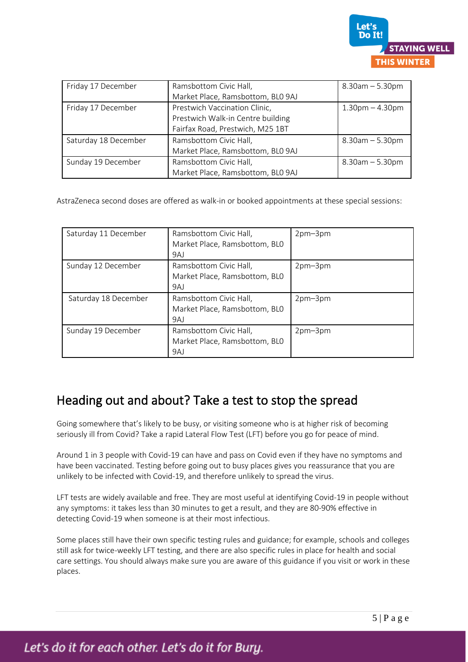

| Friday 17 December   | Ramsbottom Civic Hall,<br>Market Place, Ramsbottom, BLO 9AJ | $8.30$ am $- 5.30$ pm |
|----------------------|-------------------------------------------------------------|-----------------------|
|                      |                                                             |                       |
| Friday 17 December   | Prestwich Vaccination Clinic,                               | $1.30pm - 4.30pm$     |
|                      | Prestwich Walk-in Centre building                           |                       |
|                      | Fairfax Road, Prestwich, M25 1BT                            |                       |
| Saturday 18 December | Ramsbottom Civic Hall,                                      | $8.30$ am $- 5.30$ pm |
|                      | Market Place, Ramsbottom, BLO 9AJ                           |                       |
| Sunday 19 December   | Ramsbottom Civic Hall,                                      | $8.30$ am $- 5.30$ pm |
|                      | Market Place, Ramsbottom, BLO 9AJ                           |                       |

AstraZeneca second doses are offered as walk-in or booked appointments at these special sessions:

| Saturday 11 December | Ramsbottom Civic Hall,<br>Market Place, Ramsbottom, BLO<br>9AJ | 2pm-3pm   |
|----------------------|----------------------------------------------------------------|-----------|
| Sunday 12 December   | Ramsbottom Civic Hall,<br>Market Place, Ramsbottom, BLO<br>9AJ | 2pm-3pm   |
| Saturday 18 December | Ramsbottom Civic Hall,<br>Market Place, Ramsbottom, BLO<br>9AJ | $2pm-3pm$ |
| Sunday 19 December   | Ramsbottom Civic Hall,<br>Market Place, Ramsbottom, BLO<br>9AJ | $2pm-3pm$ |

### Heading out and about? Take a test to stop the spread

Going somewhere that's likely to be busy, or visiting someone who is at higher risk of becoming seriously ill from Covid? Take a rapid Lateral Flow Test (LFT) before you go for peace of mind.

Around 1 in 3 people with Covid-19 can have and pass on Covid even if they have no symptoms and have been vaccinated. Testing before going out to busy places gives you reassurance that you are unlikely to be infected with Covid-19, and therefore unlikely to spread the virus.

LFT tests are widely available and free. They are most useful at identifying Covid-19 in people without any symptoms: it takes less than 30 minutes to get a result, and they are 80-90% effective in detecting Covid-19 when someone is at their most infectious.

Some places still have their own specific testing rules and guidance; for example, schools and colleges still ask for twice-weekly LFT testing, and there are also specific rules in place for health and social care settings. You should always make sure you are aware of this guidance if you visit or work in these places.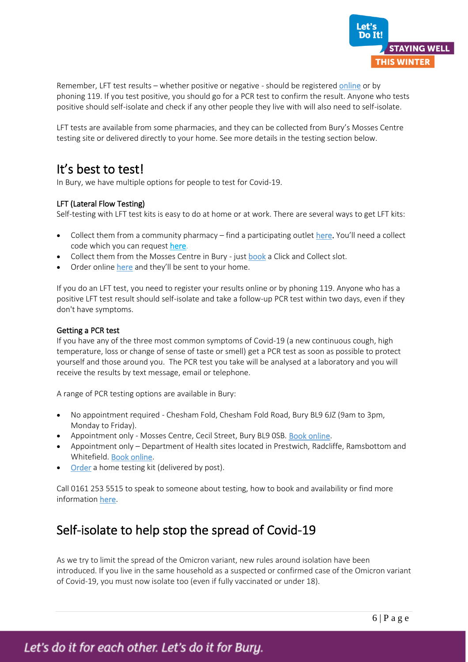

Remember, LFT test results – whether positive or negative - should be registered [online](https://www.gov.uk/report-covid19-result) or by phoning 119. If you test positive, you should go for a PCR test to confirm the result. Anyone who tests positive should self-isolate and check if any other people they live with will also need to self-isolate.

LFT tests are available from some pharmacies, and they can be collected from Bury's Mosses Centre testing site or delivered directly to your home. See more details in the testing section below.

# It's best to test!

In Bury, we have multiple options for people to test for Covid-19.

#### LFT (Lateral Flow Testing)

Self-testing with LFT test kits is easy to do at home or at work. There are several ways to get LFT kits:

- Collect them from a community pharmacy find a participating outle[t here.](https://www.nhs.uk/conditions/coronavirus-covid-19/testing/regular-rapid-coronavirus-tests-if-you-do-not-have-symptoms/) You'll need a collect code which you can request [here.](https://test-for-coronavirus.service.gov.uk/collect-lateral-flow-kits)
- Collect them from the Mosses Centre in Bury just [book](https://nhsburyccg.simplybook.cc/v2/#book/location/2/count/1/provider/any/) a Click and Collect slot.
- Order online [here](http://www.gov.uk/order-coronavirus-rapid-lateral-flow-tests) and they'll be sent to your home.

If you do an LFT test, you need to register your results online or by phoning 119. Anyone who has a positive LFT test result should self-isolate and take a follow-up PCR test within two days, even if they don't have symptoms.

#### Getting a PCR test

If you have any of the three most common symptoms of Covid-19 (a new continuous cough, high temperature, loss or change of sense of taste or smell) get a PCR test as soon as possible to protect yourself and those around you. The PCR test you take will be analysed at a laboratory and you will receive the results by text message, email or telephone.

A range of PCR testing options are available in Bury:

- No appointment required Chesham Fold, Chesham Fold Road, Bury BL9 6JZ (9am to 3pm, Monday to Friday).
- Appointment only Mosses Centre, Cecil Street, Bury BL9 0SB. [Book online.](https://nhsburyccg.simplybook.cc/v2/#book/location/2/count/1/provider/any/)
- Appointment only Department of Health sites located in Prestwich, Radcliffe, Ramsbottom and Whitefield. [Book online.](https://www.gov.uk/get-coronavirus-test)
- [Order](https://www.gov.uk/get-coronavirus-test) a home testing kit (delivered by post).

Call 0161 253 5515 to speak to someone about testing, how to book and availability or find more information [here.](http://www.bury.gov.uk/coronavirus-testing)

### Self-isolate to help stop the spread of Covid-19

As we try to limit the spread of the Omicron variant, new rules around isolation have been introduced. If you live in the same household as a suspected or confirmed case of the Omicron variant of Covid-19, you must now isolate too (even if fully vaccinated or under 18).